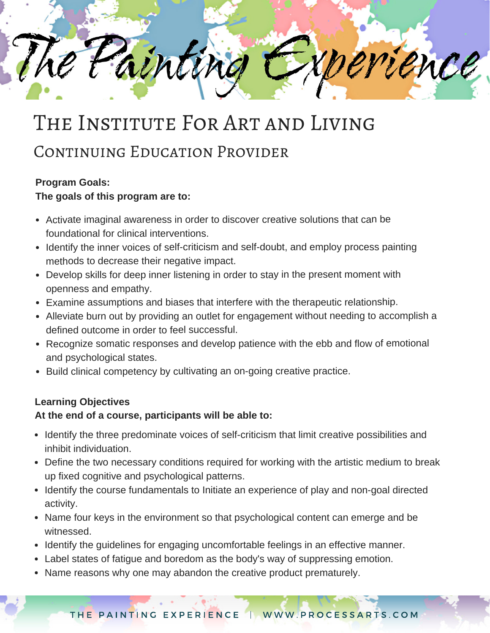rence ainting

# THE INSTITUTE FOR ART AND LIVING

## CONTINUING EDUCATION PROVIDER

### **Program Goals:**

#### **The goals of this program are to:**

- Activate imaginal awareness in order to discover creative solutions that can be foundational for clinical interventions.
- Identify the inner voices of self-criticism and self-doubt, and employ process painting methods to decrease their negative impact.
- Develop skills for deep inner listening in order to stay in the present moment with openness and empathy.
- Examine assumptions and biases that interfere with the therapeutic relationship.
- Alleviate burn out by providing an outlet for engagement without needing to accomplish <sup>a</sup> defined outcome in order to feel successful.
- Recognize somatic responses and develop patience with the ebb and flow of emotional and psychological states.
- Build clinical competency by cultivating an on-going creative practice.

#### **Learning Objectives**

#### **At the end of a course, participants will be able to:**

- Identify the three predominate voices of self-criticism that limit creative possibilities and inhibit individuation.
- Define the two necessary conditions required for working with the artistic medium to break up fixed cognitive and psychological patterns.
- Identify the course fundamentals to Initiate an experience of play and non-goal directed activity.
- Name four keys in the environment so that psychological content can emerge and be witnessed.
- Identify the quidelines for engaging uncomfortable feelings in an effective manner.
- Label states of fatigue and boredom as the body's way of suppressing emotion.
- Name reasons why one may abandon the creative product prematurely.